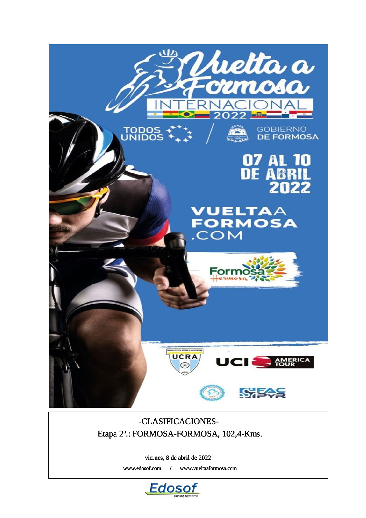

## -CLASIFICACIONES-Etapa 2ª.: FORMOSA-FORMOSA, 102,4-Kms.

viernes, 8 de abril de 2022

www.edosof.com / www.vueltaaformosa.com

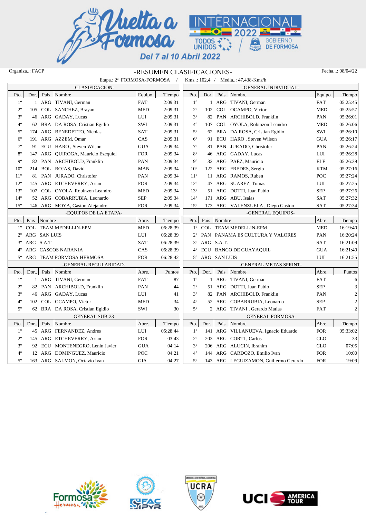

## Organiza..: FACP -RESUMEN CLASIFICACIONES- Fecha...: 08/04/22

|              | Etapa.: 2 <sup>ª</sup> FORMOSA-FORMOSA / |                                             |          |                 |                        |        | Kms: 102,4 / Media: 47,438-Kms/h      |            |                         |
|--------------|------------------------------------------|---------------------------------------------|----------|-----------------|------------------------|--------|---------------------------------------|------------|-------------------------|
|              | -CLASIFICACION-                          |                                             |          |                 |                        |        | -GENERAL INDIVIDUAL-                  |            |                         |
| Pto.         | Dor.<br>Pais<br>Nombre                   | Equipo                                      | Tiempo   | Pto.            | Dor.                   |        | Pais Nombre                           | Equipo     | Tiempo                  |
| $1^{\circ}$  | 1 ARG TIVANI, German                     | <b>FAT</b>                                  | 2:09:31  | $1^{\circ}$     |                        |        | 1 ARG TIVANI, German                  | <b>FAT</b> | 05:25:45                |
| $2^{\circ}$  | 105 COL SANCHEZ, Brayan                  | <b>MED</b>                                  | 2:09:31  | $2^{\circ}$     |                        |        | 102 COL OCAMPO, Víctor                | <b>MED</b> | 05:25:57                |
| $3^{\circ}$  | 46 ARG GADAY, Lucas                      | LUI                                         | 2:09:31  | $3^{\circ}$     |                        |        | 82 PAN ARCHIBOLD, Franklin            | PAN        | 05:26:01                |
| $4^{\circ}$  | 62 BRA DA ROSA, Cristian Egidio          | SWI                                         | 2:09:31  | $4^{\circ}$     |                        |        | 107 COL OYOLA, Robinzon Leandro       | <b>MED</b> | 05:26:06                |
| $5^{\circ}$  | 174 ARG BENEDETTO, Nicolas               | SAT                                         | 2:09:31  | $5^{\circ}$     |                        |        | 62 BRA DA ROSA, Cristian Egidio       | SWI        | 05:26:10                |
| $6^{\circ}$  | 191 ARG AZZEM, Omar                      | CAS                                         | 2:09:31  | $6^{\circ}$     |                        |        | 91 ECU HARO, Steven Wilson            | <b>GUA</b> | 05:26:17                |
| $7^{\circ}$  | 91 ECU HARO, Steven Wilson               | $\rm GUA$                                   | 2:09:34  | $7^{\circ}$     |                        |        | 81 PAN JURADO, Christofer             | PAN        | 05:26:24                |
| $8^{\rm o}$  | 147 ARG QUIROGA, Mauricio Ezequiel       | ${\rm FOR}$                                 | 2:09:34  | $8^{\circ}$     | 46                     |        | ARG GADAY, Lucas                      | LUI        | 05:26:28                |
| $9^{\circ}$  | 82 PAN ARCHIBOLD, Franklin               | PAN                                         | 2:09:34  | $9^{\circ}$     |                        |        | 32 ARG PAEZ, Mauricio                 | <b>ELE</b> | 05:26:39                |
| $10^{\circ}$ | 214 BOL ROJAS, David                     | <b>MAN</b>                                  | 2:09:34  | 10 <sup>o</sup> |                        |        | 122 ARG FREDES, Sergio                | <b>KTM</b> | 05:27:16                |
| $11^{\circ}$ | 81 PAN JURADO, Christofer                | PAN                                         | 2:09:34  | $11^{\circ}$    |                        |        | 11 ARG RAMOS, Ruben                   | POC        | 05:27:24                |
| $12^{\circ}$ | 145 ARG ETCHEVERRY, Arian                | <b>FOR</b>                                  | 2:09:34  | $12^{\circ}$    |                        |        | 47 ARG SUAREZ, Tomas                  | LUI        | 05:27:25                |
| $13^{\circ}$ | 107 COL OYOLA, Robinzon Leandro          | <b>MED</b>                                  | 2:09:34  | $13^{\circ}$    |                        |        | 51 ARG DOTTI, Juan Pablo              | <b>SEP</b> | 05:27:26                |
| $14^{\circ}$ | 52 ARG COBARRUBIA, Leonardo              | $\ensuremath{\mathop{\text{SEP}}\nolimits}$ | 2:09:34  | $14^{\circ}$    |                        |        | 171 ARG ABU, Isaias                   | <b>SAT</b> | 05:27:32                |
| $15^{\circ}$ | 146 ARG MOYA, Gaston Alejandro           | <b>FOR</b>                                  | 2:09:34  | $15^{\circ}$    |                        |        | 173 ARG VALENZUELA, Diego Gaston      | <b>SAT</b> | 05:27:34                |
|              | -EQUIPOS DE LA ETAPA-                    |                                             |          |                 |                        |        | -GENERAL EQUIPOS-                     |            |                         |
| Pto.         | Pais Nombre                              | Abre.                                       | Tiempo   | Pto.            | Pais                   | Nombre |                                       | Abre.      | Tiempo                  |
|              | 1° COL TEAM MEDELLIN-EPM                 | <b>MED</b>                                  | 06:28:39 |                 |                        |        | 1º COL TEAM MEDELLIN-EPM              | <b>MED</b> | 16:19:40                |
| $2^{\circ}$  | ARG SAN LUIS                             | LUI                                         | 06:28:39 |                 |                        |        | 2° PAN PANAMA ES CULTURA Y VALORES    | PAN        | 16:20:24                |
| $3^{\circ}$  | ARG S.A.T.                               | SAT                                         | 06:28:39 |                 | $3^{\circ}$ ARG S.A.T. |        |                                       | <b>SAT</b> | 16:21:09                |
| $4^{\circ}$  | ARG CASCOS NARANJA                       | CAS                                         | 06:28:39 | $4^{\circ}$     |                        |        | ECU BANCO DE GUAYAQUIL                | <b>GUA</b> | 16:21:40                |
| $5^{\circ}$  | ARG TEAM FORMOSA HERMOSA                 | <b>FOR</b>                                  | 06:28:42 |                 | 5° ARG SAN LUIS        |        |                                       | LUI        | 16:21:55                |
|              | -GENERAL REGULARIDAD-                    |                                             |          |                 |                        |        | -GENERAL METAS SPRINT-                |            |                         |
| Pto.         | Dor<br>Pais Nombre                       | Abre.                                       | Puntos   | Pto.            | Dor                    |        | Pais Nombre                           | Abre.      | Puntos                  |
| $1^{\circ}$  | 1 ARG TIVANI, German                     | <b>FAT</b>                                  | 87       | $1^{\circ}$     |                        |        | 1 ARG TIVANI, German                  | <b>FAT</b> | 6                       |
| $2^{\circ}$  | 82 PAN ARCHIBOLD, Franklin               | PAN                                         | 44       | $2^{\circ}$     |                        |        | 51 ARG DOTTI, Juan Pablo              | <b>SEP</b> | 3                       |
| $3^{\circ}$  | 46 ARG GADAY, Lucas                      | LUI                                         | 41       | $3^{\circ}$     | 82                     |        | PAN ARCHIBOLD, Franklin               | PAN        | $\overline{\mathbf{c}}$ |
| $4^{\circ}$  | 102 COL OCAMPO, Víctor                   | <b>MED</b>                                  | 34       | $4^{\rm o}$     |                        |        | 52 ARG COBARRUBIA, Leonardo           | <b>SEP</b> | $\overline{2}$          |
| $5^{\circ}$  | 62 BRA DA ROSA, Cristian Egidio          | SWI                                         | 30       | $5^{\circ}$     |                        |        | 2 ARG TIVANI, Gerardo Matias          | <b>FAT</b> | $\overline{2}$          |
|              | -GENERAL SUB-23-                         |                                             |          |                 |                        |        | -GENERAL FORMOSA-                     |            |                         |
| Pto.         | Pais<br>Dor<br>Nombre                    | Abre.                                       | Tiempo   | Pto.            | Dor                    |        | Pais Nombre                           | Abre.      | Tiempo                  |
| $1^{\circ}$  | 45 ARG FERNANDEZ, Andres                 | LUI                                         | 05:28:44 | $1^{\circ}$     |                        |        | 141 ARG VILLANUEVA, Ignacio Eduardo   | <b>FOR</b> | 05:33:02                |
| $2^{\circ}$  | 145 ARG ETCHEVERRY, Arian                | <b>FOR</b>                                  | 03:43    | $2^{\circ}$     | 203                    |        | ARG CORTI, Carlos                     | <b>CLO</b> | 33                      |
| $3^{\circ}$  | 92 ECU MONTENEGRO, Lenin Javier          | <b>GUA</b>                                  | 04:14    | $3^{\circ}$     | 206                    |        | ARG ALUCIN, Ibrahim                   | <b>CLO</b> | 07:05                   |
| $4^{\circ}$  | 12 ARG DOMINGUEZ, Mauricio               | POC                                         | 04:21    | $4^{\circ}$     |                        |        | 144 ARG CARDOZO, Emilio Ivan          | <b>FOR</b> | 10:00                   |
| $5^{\circ}$  | 163 ARG SALMON, Octavio Ivan             | <b>GIA</b>                                  | 04:27    | $5^{\circ}$     |                        |        | 143 ARG LEGUIZAMON, Guillermo Gerardo | <b>FOR</b> | 19:09                   |
|              |                                          |                                             |          |                 |                        |        |                                       |            |                         |







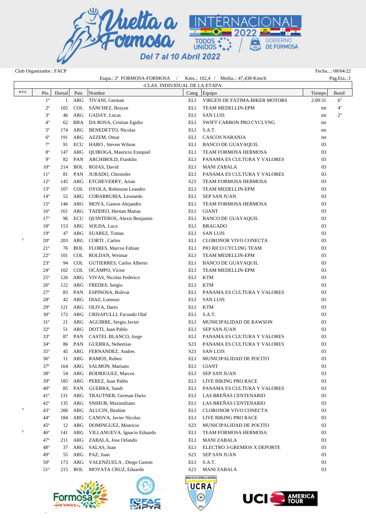

| Club Organizador.: FACP |              |        |             |                                          |                  |                                    |         | Fecha: 08/04/22 |
|-------------------------|--------------|--------|-------------|------------------------------------------|------------------|------------------------------------|---------|-----------------|
|                         |              |        |             | Etapa.: 2 <sup>ª</sup> FORMOSA-FORMOSA / |                  | Kms: 102,4 / Media: 47,438-Kms/h   |         | Pag.Eta:1       |
|                         |              |        |             | -CLAS. INDIVIDUAL DE LA ETAPA-           |                  |                                    |         |                 |
| $R/P/E$ .               | Pto.         | Dorsal | Pais        | Nombre                                   |                  | Categ Equipo                       | Tiempo  | Bonif.          |
|                         | $1^{\circ}$  | 1      | ${\sf ARG}$ | TIVANI, German                           | ELI              | VIRGEN DE FATIMA-BIKER MOTORS      | 2:09:31 | 6"              |
|                         | $2^{\circ}$  | 105    | COL         | SANCHEZ, Brayan                          | ELI              | TEAM MEDELLIN-EPM                  | mt      | 4"              |
|                         | $3^{\circ}$  | 46     | ARG         | GADAY, Lucas                             | ELI              | <b>SAN LUIS</b>                    | mt      | 2"              |
|                         | $4^{\circ}$  | 62     |             | BRA DA ROSA, Cristian Egidio             | ELI              | SWIFT CARBON PRO CYCLYNG           | mt      |                 |
|                         | $5^{\circ}$  | 174    | ARG         | BENEDETTO, Nicolas                       | ELI              | S.A.T.                             | mt      |                 |
|                         | $6^{\circ}$  | 191    |             | ARG AZZEM, Omar                          | ELI              | <b>CASCOS NARANJA</b>              | mt      |                 |
|                         | $7^{\circ}$  | 91     | ECU         | HARO, Steven Wilson                      | ELI              | <b>BANCO DE GUAYAQUIL</b>          | 03      |                 |
|                         | $8^{\circ}$  | 147    | ARG         | QUIROGA, Mauricio Ezequiel               | ELI              | TEAM FORMOSA HERMOSA               | 03      |                 |
|                         | $9^{\circ}$  | 82     | PAN         | ARCHIBOLD, Franklin                      | ELI              | PANAMA ES CULTURA Y VALORES        | 03      |                 |
|                         | $10^{\circ}$ | 214    | <b>BOL</b>  | ROJAS, David                             | ELI              | <b>MANI ZABALA</b>                 | 03      |                 |
|                         | $11^{\circ}$ | 81     | PAN         | JURADO, Christofer                       | ELI              | PANAMA ES CULTURA Y VALORES        | 03      |                 |
|                         | $12^{\circ}$ | 145    | ARG         | ETCHEVERRY, Arian                        | S <sub>2</sub> 3 | TEAM FORMOSA HERMOSA               | 03      |                 |
|                         | $13^{\circ}$ | 107    | COL         | OYOLA, Robinzon Leandro                  | ELI              | TEAM MEDELLIN-EPM                  | 03      |                 |
|                         | $14^{\circ}$ | 52     | ARG         | COBARRUBIA, Leonardo                     | ELI              | <b>SEP SAN JUAN</b>                | 03      |                 |
|                         | $15^{\circ}$ | 146    |             | ARG MOYA, Gaston Alejandro               | ELI              | TEAM FORMOSA HERMOSA               | 03      |                 |
|                         | $16^{\circ}$ | 161    | ARG         | TADDEO, Hernan Matias                    | ELI              | <b>GIANT</b>                       | 03      |                 |
|                         | $17^{\circ}$ | 96     | ECU         | QUINTEROS, Alexis Benjamin               | ELI              | <b>BANCO DE GUAYAQUIL</b>          | 03      |                 |
|                         | $18^{\circ}$ | 153    | ARG         | SOLDA, Luca                              | ELI              | <b>BRAGADO</b>                     | 03      |                 |
|                         | $19^{\circ}$ | 47     | ARG         | SUAREZ, Tomas                            | ELI              | <b>SAN LUIS</b>                    | 03      |                 |
| $\mathbf F$             | $20^{\circ}$ | 203    | ARG         | CORTI, Carlos                            | ELI              | CLORONOR VIVO CONECTA              | 03      |                 |
|                         | $21^{\circ}$ | 76     | BOL         | FLORES, Marcos Fabian                    | ELI              | PIO RICO CYCLING TEAM              | 03      |                 |
|                         | $22^{\circ}$ | 101    | COL         | ROLDAN, Weimar                           | ELI              | TEAM MEDELLIN-EPM                  | 03      |                 |
|                         | $23^{\circ}$ | 94     | COL         | <b>GUTIERRES, Carlos Alberto</b>         | ELI              | <b>BANCO DE GUAYAQUIL</b>          | 03      |                 |
|                         | $24^{\circ}$ | 102    | COL         | OCAMPO, Víctor                           | ELI              | TEAM MEDELLIN-EPM                  | 03      |                 |
|                         | $25^{\circ}$ | 126    | ARG         | VIVAS, Nicolas Federico                  | ELI              | <b>KTM</b>                         | 03      |                 |
|                         | $26^{\circ}$ | 122    | ARG         | FREDES, Sergio                           | ELI              | <b>KTM</b>                         | 03      |                 |
|                         | $27^{\circ}$ | 83     | PAN         | ESPINOSA, Bolivar                        | ELI              | PANAMA ES CULTURA Y VALORES        | 03      |                 |
|                         | $28^{\circ}$ | 42     | ARG         | DIAZ, Lorenzo                            | ELI              | <b>SAN LUIS</b>                    | 03      |                 |
|                         | $29^\circ$   | 121    | ARG         | OLIVA, Dario                             | ELI              | <b>KTM</b>                         | 03      |                 |
|                         | $30^{\circ}$ | 172    | ARG         | CRISAFULLI, Facundo Olaf                 | ELI              | S.A.T.                             | 03      |                 |
|                         | $31^\circ$   | 21     |             | ARG AGUIRRE, Sergio Javier               | ELI              | MUNICIPALIDAD DE RAWSON            | 03      |                 |
|                         | $32^{\circ}$ | 51     |             | ARG DOTTI, Juan Pablo                    | ELI              | <b>SEP SAN JUAN</b>                | 03      |                 |
|                         | $33^{\circ}$ | 87     |             | PAN CASTEL BLANCO, Jorge                 | ELI              | PANAMA ES CULTURA Y VALORES        | 03      |                 |
|                         | $34^{\rm o}$ | 86     |             | PAN GUERRA, Nehemias                     | S <sub>23</sub>  | PANAMA ES CULTURA Y VALORES        | 03      |                 |
|                         | $35^{\circ}$ | 45     | ARG         |                                          | S <sub>2</sub> 3 | <b>SAN LUIS</b>                    | 03      |                 |
|                         | $36^{\circ}$ |        | ARG         | FERNANDEZ, Andres<br>RAMOS, Ruben        | ELI              | MUNICIPALIDAD DE POCITO            | 03      |                 |
|                         | $37^\circ$   | 11     |             |                                          |                  | <b>GIANT</b>                       |         |                 |
|                         | $38^{\circ}$ | 164    | ARG         | SALMON, Mariano<br>RODRIGUEZ, Marcos     | ELI              |                                    | 03      |                 |
|                         |              | 54     | ARG         |                                          | ELI              | <b>SEP SAN JUAN</b>                | 03      |                 |
|                         | $39^\circ$   | 185    | ARG         | PEREZ, Juan Pablo                        | ELI              | LIVE BIKING PRO RACE               | 03      |                 |
|                         | $40^{\circ}$ | 85     | PAN         | GUERRA, Sandi                            | ELI              | PANAMA ES CULTURA Y VALORES        | 03      |                 |
|                         | $41^{\circ}$ | 131    | ARG         | TRAUTNER, German Dario                   | ELI              | LAS BREÑAS CENTENARIO              | 03      |                 |
| F                       | $42^{\circ}$ | 135    | ARG         | SNIHUR, Maximiliano                      | ELI              | LAS BREÑAS CENTENARIO              | 03      |                 |
|                         | $43^\circ$   | 206    | ARG         | ALUCIN, Ibrahim                          | ELI              | CLORONOR VIVO CONECTA              | 03      |                 |
|                         | $44^\circ$   | 184    | ARG         | CANOVA, Javier Nicolas                   | ELI              | LIVE BIKING PRO RACE               | 03      |                 |
|                         | $45^{\circ}$ | 12     | ARG         | DOMINGUEZ, Mauricio                      | S <sub>2</sub> 3 | MUNICIPALIDAD DE POCITO            | 03      |                 |
| F                       | $46^{\circ}$ | 141    | ARG         | VILLANUEVA, Ignacio Eduardo              | ELI              | TEAM FORMOSA HERMOSA               | 03      |                 |
|                         | $47^{\circ}$ | 211    | ARG         | ZABALA, Jose Orlando                     | ELI              | <b>MANI ZABALA</b>                 | 03      |                 |
|                         | $48^{\circ}$ | 37     | ARG         | SALAS, Juan                              | ELI              | ELECTRO 3-GREMIOS X DEPORTE        | 03      |                 |
|                         | $49^\circ$   | 55     |             | ARG PAZ, Juan                            | S <sub>2</sub> 3 | <b>SEP SAN JUAN</b>                | 03      |                 |
|                         | $50^\circ$   | 173    | ARG         | VALENZUELA, Diego Gaston                 | ELI              | S.A.T.                             | 03      |                 |
|                         | $51^\circ$   | 215    | BOL         | MOYATA CRUZ, Eduardo                     | S <sub>2</sub> 3 | <b>MANI ZABALA</b>                 | 03      |                 |
|                         |              |        |             |                                          |                  | UNION CICLISTA REPÚBLICA ARGENTINA |         |                 |



×,



**UCRA** 

⊛

UCI<sup>5</sup>

**AMERICA**<br>TOUR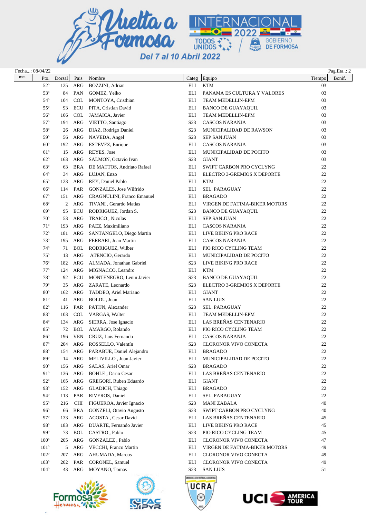

| Fecha: 08/04/22 |                              |           |            |                                   |                  |                                           |              | Pag.Eta: 2 |
|-----------------|------------------------------|-----------|------------|-----------------------------------|------------------|-------------------------------------------|--------------|------------|
| $R/P/E$ .       | Pto.                         | Dorsal    | Pais       | Nombre                            | Categ            | Equipo                                    | Tiempo       | Bonif.     |
|                 | $52^{\circ}$                 | 125       | ARG        | BOZZINI, Adrian                   | ELI              | <b>KTM</b>                                | 03           |            |
|                 | $53^{\circ}$                 | 84        | PAN        | GOMEZ, Yelko                      | ELI              | PANAMA ES CULTURA Y VALORES               | 03           |            |
|                 | $54^\circ$                   | 104       | <b>COL</b> | MONTOYA, Cristhian                | ELI              | TEAM MEDELLIN-EPM                         | 03           |            |
|                 | $55^{\circ}$                 | 93        | <b>ECU</b> | PITA, Cristian David              | ELI              | <b>BANCO DE GUAYAQUIL</b>                 | 03           |            |
|                 | $56^{\circ}$                 | 106       | <b>COL</b> | JAMAICA, Javier                   | ELI              | TEAM MEDELLIN-EPM                         | 03           |            |
|                 | $57^\circ$                   | 194       | ARG        | VIETTO, Santiago                  | S <sub>2</sub> 3 | <b>CASCOS NARANJA</b>                     | 03           |            |
|                 | $58^{\rm o}$                 | 26        | ARG        | DIAZ, Rodrigo Daniel              | S <sub>23</sub>  | MUNICIPALIDAD DE RAWSON                   | 03           |            |
|                 | $59^\circ$                   | 56        | ARG        | NAVEDA, Angel                     | S <sub>23</sub>  | <b>SEP SAN JUAN</b>                       | 03           |            |
|                 | $60^{\circ}$                 | 192       | ARG        | ESTEVEZ, Enrique                  | ELI              | <b>CASCOS NARANJA</b>                     | 03           |            |
|                 | $61^\circ$                   | 15        | ARG        | REYES, Jose                       | ELI              | MUNICIPALIDAD DE POCITO                   | 03           |            |
|                 | $62^{\circ}$                 | 163       | ARG        | SALMON, Octavio Ivan              | S <sub>23</sub>  | <b>GIANT</b>                              | 03           |            |
|                 | $63^\circ$                   | 63        | <b>BRA</b> | DE MATTOS, Andriato Rafael        | ELI              | SWIFT CARBON PRO CYCLYNG                  | 22           |            |
|                 | $64^\circ$                   | 34        | ARG        | LUJAN, Enzo                       | ELI              | ELECTRO 3-GREMIOS X DEPORTE               | 22           |            |
|                 | $65^{\circ}$                 | 123       | ARG        | REY, Daniel Pablo                 | ELI              | <b>KTM</b>                                | 22           |            |
|                 | $66^{\circ}$                 | 114       | PAR        | GONZALES, Jose Wilfrido           | ELI              | SEL. PARAGUAY                             | 22           |            |
|                 | $67^\circ$                   | 151       | ARG        | <b>CRAGNULINI, Franco Emanuel</b> | ELI              | <b>BRAGADO</b>                            | 22           |            |
|                 | $68^{\circ}$                 | 2         | ARG        | TIVANI, Gerardo Matias            | ELI              | VIRGEN DE FATIMA-BIKER MOTORS             | 22           |            |
|                 | $69^\circ$                   | 95        | <b>ECU</b> | RODRIGUEZ, Jordan S.              | S <sub>23</sub>  | <b>BANCO DE GUAYAQUIL</b>                 | 22           |            |
|                 | $70^{\circ}$                 | 53        | ARG        | TRAICO, Nicolas                   | ELI              | <b>SEP SAN JUAN</b>                       | 22           |            |
|                 | $71^{\circ}$                 | 193       | ARG        | PAEZ, Maximiliano                 | ELI              | <b>CASCOS NARANJA</b>                     | 22           |            |
|                 | $72^{\circ}$                 | 181       | ARG        | SANTANGELO, Diego Martin          | ELI              | LIVE BIKING PRO RACE                      | 22           |            |
|                 | $73^{\circ}$                 | 195       | ARG        | FERRARI, Juan Martin              | ELI              | <b>CASCOS NARANJA</b>                     | 22           |            |
|                 | $74^{\circ}$                 | 71        | <b>BOL</b> | RODRIGUEZ, Wilber                 | ELI              | PIO RICO CYCLING TEAM                     | 22           |            |
|                 | $75^{\circ}$                 | 13        | ARG        | ATENCIO, Gerardo                  | ELI              | MUNICIPALIDAD DE POCITO                   | 22           |            |
|                 | $76^{\circ}$                 | 182       | ARG        | ALMADA, Jonathan Gabriel          | S <sub>23</sub>  | LIVE BIKING PRO RACE                      | 22           |            |
|                 | $77^{\circ}$                 | 124       | ARG        | MIGNACCO, Leandro                 | ELI              | <b>KTM</b>                                | 22           |            |
|                 | $78^{\circ}$                 | 92        | ECU        | MONTENEGRO, Lenin Javier          | S <sub>23</sub>  | <b>BANCO DE GUAYAQUIL</b>                 | 22           |            |
|                 | $79^\circ$                   | 35        | ARG        | ZARATE, Leonardo                  | S <sub>23</sub>  | ELECTRO 3-GREMIOS X DEPORTE               | 22           |            |
|                 | $80^\circ$                   | 162       | ARG        | TADDEO, Ariel Mariano             | ELI              | <b>GIANT</b>                              | 22           |            |
|                 | $81^{\circ}$                 | 41        | ARG        | BOLDU, Juan                       | ELI              | <b>SAN LUIS</b>                           | 22           |            |
|                 | $82^{\circ}$                 | 116       | PAR        | PATIJN, Alexander                 | S <sub>23</sub>  | SEL. PARAGUAY                             | 22           |            |
|                 | $83^\circ$                   | 103       | COL        | VARGAS, Walter                    | ELI              | TEAM MEDELLIN-EPM                         | 22           |            |
|                 | $84^{\circ}$                 | 134       | ARG        | SIERRA, Jose Ignacio              | ELI              | LAS BREÑAS CENTENARIO                     | 22           |            |
|                 | $85^{\circ}$                 | 72        | <b>BOL</b> | AMARGO, Rolando                   | ELI              | PIO RICO CYCLING TEAM                     | 22           |            |
|                 | $86^{\circ}$                 | 196       |            | VEN CRUZ, Luis Fernando           | ELI              | <b>CASCOS NARANJA</b>                     | 22           |            |
|                 |                              | 204       |            | ARG ROSSELLO, Valentín            | S <sub>23</sub>  | CLORONOR VIVO CONECTA                     |              |            |
|                 | $87^{\rm o}$<br>$88^{\circ}$ |           | ARG        | PARABUE, Daniel Alejandro         |                  |                                           | $22\,$<br>22 |            |
|                 | $89^\circ$                   | 154<br>14 | ARG        | MELIVILLO, Juan Javier            | ELI<br>ELI       | <b>BRAGADO</b><br>MUNICIPALIDAD DE POCITO | 22           |            |
|                 | $90^\circ$                   | 156       | ARG        | SALAS, Ariel Omar                 | S <sub>23</sub>  |                                           | 22           |            |
|                 | $91^\circ$                   |           | ARG        | <b>BOHLE</b> , Dario Cesar        | ELI              | <b>BRAGADO</b><br>LAS BREÑAS CENTENARIO   | 22           |            |
|                 |                              | 136       |            |                                   |                  |                                           |              |            |
|                 | $92^{\circ}$                 | 165       | ARG        | GREGORI, Ruben Eduardo            | ELI              | <b>GIANT</b>                              | 22           |            |
|                 | $93^\circ$                   | 152       | ARG        | GLADICH, Thiago                   | ELI              | <b>BRAGADO</b>                            | 22           |            |
|                 | $94^\circ$                   | 113       | PAR        | RIVEROS, Daniel                   | ELI              | SEL. PARAGUAY                             | 22           |            |
|                 | $95^\circ$                   | 216       | <b>CHI</b> | FIGUEROA, Javier Ignacio          | S <sub>23</sub>  | <b>MANI ZABALA</b>                        | 40           |            |
|                 | $96^{\circ}$                 | 66        | <b>BRA</b> | <b>GONZELI, Otavio Augusto</b>    | S <sub>23</sub>  | SWIFT CARBON PRO CYCLYNG                  | 40           |            |
|                 | $97^\circ$                   | 133       | ARG        | ACOSTA, Cesar David               | ELI              | LAS BREÑAS CENTENARIO                     | 45           |            |
|                 | 98°                          | 183       | ARG        | DUARTE, Fernando Javier           | ELI              | LIVE BIKING PRO RACE                      | 45           |            |
|                 | 99°                          | 73        | <b>BOL</b> | CASTRO, Pablo                     | S <sub>23</sub>  | PIO RICO CYCLING TEAM                     | 45           |            |
|                 | $100^{\circ}$                | 205       | ARG        | GONZALEZ, Pablo                   | ELI              | CLORONOR VIVO CONECTA                     | 47           |            |
|                 | $101^{\circ}$                | 5         | ARG        | VECCHI, Franco Martin             | ELI              | VIRGEN DE FATIMA-BIKER MOTORS             | 49           |            |
|                 | $102^{\circ}$                | 207       | ARG        | AHUMADA, Marcos                   | ELI              | CLORONOR VIVO CONECTA                     | 49           |            |
|                 | $103^\circ$                  | 202       | PAR        | CORONEL, Samuel                   | ELI              | CLORONOR VIVO CONECTA                     | 49           |            |
|                 | $104^\circ$                  | 43        | ARG        | MOYANO, Tomas                     | S <sub>23</sub>  | <b>SAN LUIS</b>                           | 51           |            |
|                 |                              |           |            | معتقد                             |                  | UNION CICLISTA REPÚBLICA ARGENTINA        |              |            |





**UCRA** 

 $\circledcirc$ 

**AMERICA**<br>TOUR

**UCIS**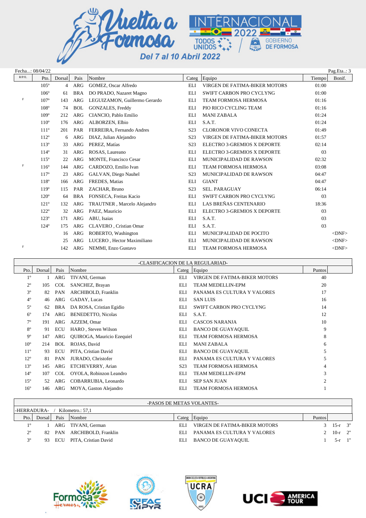

|             | Fecha: 08/04/22 |                |            |                               |                  |                               |        | Pag.Eta: 3  |
|-------------|-----------------|----------------|------------|-------------------------------|------------------|-------------------------------|--------|-------------|
| $R/P/E$ .   | Pto.            | Dorsal         | Pais       | Nombre                        | Categ            | Equipo                        | Tiempo | Bonif.      |
|             | $105^\circ$     | $\overline{4}$ | ARG        | GOMEZ, Oscar Alfredo          | ELI              | VIRGEN DE FATIMA-BIKER MOTORS | 01:00  |             |
|             | $106^\circ$     | 61             | <b>BRA</b> | DO PRADO, Nazaret Magno       | <b>ELI</b>       | SWIFT CARBON PRO CYCLYNG      | 01:00  |             |
| $\mathbf F$ | $107^\circ$     | 143            | <b>ARG</b> | LEGUIZAMON, Guillermo Gerardo | ELI              | <b>TEAM FORMOSA HERMOSA</b>   | 01:16  |             |
|             | $108^\circ$     | 74             | <b>BOL</b> | GONZALES, Freddy              | ELI              | PIO RICO CYCLING TEAM         | 01:16  |             |
|             | $109^\circ$     | 212            | <b>ARG</b> | CIANCIO, Pablo Emilio         | <b>ELI</b>       | <b>MANI ZABALA</b>            | 01:24  |             |
|             | $110^{\circ}$   | 176            | ARG        | ALBORZEN, Elbio               | ELI              | S.A.T.                        | 01:24  |             |
|             | $111^{\circ}$   | 201            | PAR        | FERREIRA, Fernando Andres     | S <sub>23</sub>  | <b>CLORONOR VIVO CONECTA</b>  | 01:49  |             |
|             | $112^{\circ}$   | 6              | <b>ARG</b> | DIAZ, Julian Alejandro        | S <sub>2</sub> 3 | VIRGEN DE FATIMA-BIKER MOTORS | 01:57  |             |
|             | $113^\circ$     | 33             | <b>ARG</b> | PEREZ, Matías                 | S <sub>2</sub> 3 | ELECTRO 3-GREMIOS X DEPORTE   | 02:14  |             |
|             | $114^{\circ}$   | 31             | <b>ARG</b> | ROSAS, Laureano               | <b>ELI</b>       | ELECTRO 3-GREMIOS X DEPORTE   | 03     |             |
|             | $115^\circ$     | 22             | <b>ARG</b> | <b>MONTE, Francisco Cesar</b> | <b>ELI</b>       | MUNICIPALIDAD DE RAWSON       | 02:32  |             |
| $\mathbf F$ | $116^\circ$     | 144            | <b>ARG</b> | CARDOZO, Emilio Ivan          | ELI              | <b>TEAM FORMOSA HERMOSA</b>   | 03:08  |             |
|             | $117^\circ$     | 23             | <b>ARG</b> | GALVAN, Diego Nauhel          | S <sub>2</sub> 3 | MUNICIPALIDAD DE RAWSON       | 04:47  |             |
|             | $118^\circ$     | 166            | <b>ARG</b> | FREDES, Matias                | <b>ELI</b>       | <b>GIANT</b>                  | 04:47  |             |
|             | $119^\circ$     | 115            | PAR        | ZACHAR, Bruno                 | S <sub>2</sub> 3 | <b>SEL. PARAGUAY</b>          | 06:14  |             |
|             | $120^\circ$     | 64             | <b>BRA</b> | FONSECA, Freitas Kacio        | ELI              | SWIFT CARBON PRO CYCLYNG      | 03     |             |
|             | $121^\circ$     | 132            | <b>ARG</b> | TRAUTNER, Marcelo Alejandro   | ELI              | LAS BREÑAS CENTENARIO         | 18:36  |             |
|             | $122^{\circ}$   | 32             | <b>ARG</b> | PAEZ, Mauricio                | <b>ELI</b>       | ELECTRO 3-GREMIOS X DEPORTE   | 03     |             |
|             | $123^\circ$     | 171            | <b>ARG</b> | ABU, Isaias                   | ELI              | S.A.T.                        | 03     |             |
|             | $124^\circ$     | 175            | <b>ARG</b> | CLAVERO, Cristian Omar        | ELI              | S.A.T.                        | 03     |             |
|             |                 | 16             | <b>ARG</b> | ROBERTO, Washington           | ELI              | MUNICIPALIDAD DE POCITO       |        | $<$ DNF $>$ |
|             |                 | 25             | <b>ARG</b> | LUCERO, Hector Maximiliano    | ELI              | MUNICIPALIDAD DE RAWSON       |        | $<$ DNF $>$ |
| F           |                 | 142            | <b>ARG</b> | NEMMI, Enzo Gustavo           | ELI              | <b>TEAM FORMOSA HERMOSA</b>   |        | $<$ DNF $>$ |

|                 | -CLASIFICACION DE LA REGULARIAD- |            |                            |                  |                               |                |  |  |  |  |  |
|-----------------|----------------------------------|------------|----------------------------|------------------|-------------------------------|----------------|--|--|--|--|--|
| Pto.            | Dorsal                           | Pais       | Nombre                     |                  | Categ Equipo                  | Puntos         |  |  |  |  |  |
| $1^{\circ}$     |                                  | ARG        | TIVANI, German             | ELI              | VIRGEN DE FATIMA-BIKER MOTORS | 40             |  |  |  |  |  |
| 2°              | 105                              | <b>COL</b> | SANCHEZ, Brayan            | ELI              | TEAM MEDELLIN-EPM             | 20             |  |  |  |  |  |
| $3^{\circ}$     | 82                               | PAN        | ARCHIBOLD, Franklin        | ELI              | PANAMA ES CULTURA Y VALORES   | 17             |  |  |  |  |  |
| $4^{\circ}$     | 46                               | ARG        | GADAY, Lucas               | ELI              | <b>SAN LUIS</b>               | 16             |  |  |  |  |  |
| $5^{\circ}$     | 62                               | BRA        | DA ROSA, Cristian Egidio   | ELI              | SWIFT CARBON PRO CYCLYNG      | 14             |  |  |  |  |  |
| $6^{\circ}$     | 174                              | ARG        | BENEDETTO, Nicolas         | ELI              | S.A.T.                        | 12             |  |  |  |  |  |
| 7°              | 191                              | ARG        | AZZEM, Omar                | ELI              | <b>CASCOS NARANJA</b>         | 10             |  |  |  |  |  |
| $8^{\circ}$     | 91                               | <b>ECU</b> | HARO, Steven Wilson        | ELI              | <b>BANCO DE GUAYAQUIL</b>     | 9              |  |  |  |  |  |
| $9^{\circ}$     | 147                              | ARG        | QUIROGA, Mauricio Ezequiel | ELI              | <b>TEAM FORMOSA HERMOSA</b>   | 8              |  |  |  |  |  |
| 10 <sup>o</sup> | 214                              | <b>BOL</b> | ROJAS, David               | ELI              | <b>MANI ZABALA</b>            | 6              |  |  |  |  |  |
| $11^{\circ}$    | 93                               | ECU        | PITA, Cristian David       | ELI              | <b>BANCO DE GUAYAQUIL</b>     | 5              |  |  |  |  |  |
| $12^{\circ}$    | 81                               | PAN        | JURADO, Christofer         | ELI              | PANAMA ES CULTURA Y VALORES   | 5              |  |  |  |  |  |
| $13^{\circ}$    | 145                              | ARG        | ETCHEVERRY, Arian          | S <sub>2</sub> 3 | <b>TEAM FORMOSA HERMOSA</b>   | 4              |  |  |  |  |  |
| $14^{\circ}$    | 107                              | COL        | OYOLA, Robinzon Leandro    | ELI              | TEAM MEDELLIN-EPM             | 3              |  |  |  |  |  |
| $15^{\circ}$    | 52                               | ARG        | COBARRUBIA, Leonardo       | ELI              | <b>SEP SAN JUAN</b>           | $\overline{2}$ |  |  |  |  |  |
| 16 <sup>o</sup> | 146                              | ARG        | MOYA, Gaston Alejandro     | ELI              | <b>TEAM FORMOSA HERMOSA</b>   |                |  |  |  |  |  |
|                 |                                  |            |                            |                  |                               |                |  |  |  |  |  |

## -PASOS DE METAS VOLANTES-

| -HERRADURA-           |        |        | Kilometro.: 57.1           |                              |                               |        |                    |  |
|-----------------------|--------|--------|----------------------------|------------------------------|-------------------------------|--------|--------------------|--|
| Pto.                  | Dorsal | Pais   | Nombre                     | $\text{2} \text{1} \text{1}$ | Equipo                        | Puntos |                    |  |
| 10                    |        |        | ARG TIVANI, German         | EL J                         | VIRGEN DE FATIMA-BIKER MOTORS |        | $3 \t 15-r \t 3$ " |  |
| $\gamma$ <sup>o</sup> |        |        | 82 PAN ARCHIBOLD, Franklin | EL J                         | PANAMA ES CULTURA Y VALORES   |        | 2 10- $r$ 2"       |  |
| 3 <sup>0</sup>        |        | 93 ECU | PITA. Cristian David       | ELI                          | BANCO DE GUAYAQUIL            |        | $5-r$ 1"           |  |
|                       |        |        |                            |                              |                               |        |                    |  |







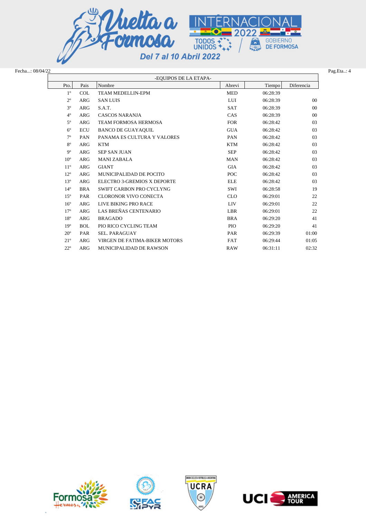

| Fecha: 08/04/22 |
|-----------------|
|                 |

| Fecha: 08/04/22 |              |            |                               |            |          | Pag.Eta: 4     |
|-----------------|--------------|------------|-------------------------------|------------|----------|----------------|
|                 |              |            | -EQUIPOS DE LA ETAPA-         |            |          |                |
|                 | Pto.         | Pais       | Nombre                        | Abrevi     | Tiempo   | Diferencia     |
|                 | $1^{\circ}$  | <b>COL</b> | <b>TEAM MEDELLIN-EPM</b>      | <b>MED</b> | 06:28:39 |                |
|                 | $2^{\circ}$  | ARG        | <b>SAN LUIS</b>               | LUI        | 06:28:39 | $00\,$         |
|                 | $3^{\circ}$  | <b>ARG</b> | S.A.T.                        | <b>SAT</b> | 06:28:39 | 0 <sup>0</sup> |
|                 | $4^{\circ}$  | ARG        | <b>CASCOS NARANJA</b>         | CAS        | 06:28:39 | $00\,$         |
|                 | $5^{\circ}$  | ARG        | TEAM FORMOSA HERMOSA          | <b>FOR</b> | 06:28:42 | 03             |
|                 | $6^{\circ}$  | <b>ECU</b> | <b>BANCO DE GUAYAQUIL</b>     | <b>GUA</b> | 06:28:42 | 03             |
|                 | $7^{\circ}$  | PAN        | PANAMA ES CULTURA Y VALORES   | PAN        | 06:28:42 | 03             |
|                 | $8^{\circ}$  | ARG        | <b>KTM</b>                    | <b>KTM</b> | 06:28:42 | 03             |
|                 | $9^{\circ}$  | <b>ARG</b> | <b>SEP SAN JUAN</b>           | <b>SEP</b> | 06:28:42 | 0 <sub>3</sub> |
|                 | $10^{\circ}$ | <b>ARG</b> | <b>MANI ZABALA</b>            | <b>MAN</b> | 06:28:42 | 03             |
|                 | $11^{\circ}$ | <b>ARG</b> | <b>GIANT</b>                  | <b>GIA</b> | 06:28:42 | 03             |
|                 | $12^{\circ}$ | <b>ARG</b> | MUNICIPALIDAD DE POCITO       | POC        | 06:28:42 | 03             |
|                 | $13^{\circ}$ | <b>ARG</b> | ELECTRO 3-GREMIOS X DEPORTE   | <b>ELE</b> | 06:28:42 | 03             |
|                 | $14^{\circ}$ | <b>BRA</b> | SWIFT CARBON PRO CYCLYNG      | SWI        | 06:28:58 | 19             |
|                 | $15^{\circ}$ | PAR        | <b>CLORONOR VIVO CONECTA</b>  | <b>CLO</b> | 06:29:01 | 22             |
|                 | $16^{\circ}$ | <b>ARG</b> | LIVE BIKING PRO RACE          | <b>LIV</b> | 06:29:01 | 22             |
|                 | $17^{\circ}$ | <b>ARG</b> | LAS BREÑAS CENTENARIO         | <b>LBR</b> | 06:29:01 | 22             |
|                 | $18^{\circ}$ | ARG        | <b>BRAGADO</b>                | <b>BRA</b> | 06:29:20 | 41             |
|                 | $19^{\circ}$ | <b>BOL</b> | PIO RICO CYCLING TEAM         | <b>PIO</b> | 06:29:20 | 41             |
|                 | $20^{\circ}$ | PAR        | SEL. PARAGUAY                 | PAR        | 06:29:39 | 01:00          |
|                 | $21^{\circ}$ | <b>ARG</b> | VIRGEN DE FATIMA-BIKER MOTORS | <b>FAT</b> | 06:29:44 | 01:05          |
|                 | $22^{\circ}$ | <b>ARG</b> | MUNICIPALIDAD DE RAWSON       | <b>RAW</b> | 06:31:11 | 02:32          |



×





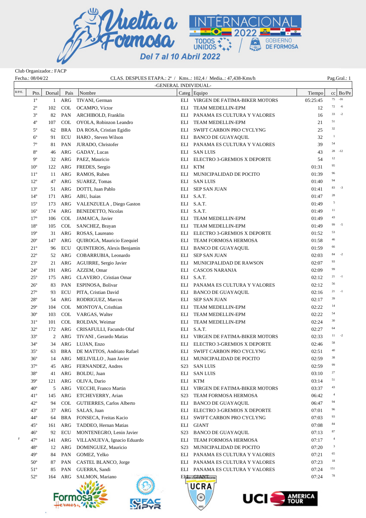

Club Organizador.: FACP

| Fecha.: 08/04/22 |              |              |            | CLAS. DESPUES ETAPA.: 2 <sup>a</sup> / Kms: 102,4 / Media: 47,438-Kms/h |                  |                                   |          |                |                 |
|------------------|--------------|--------------|------------|-------------------------------------------------------------------------|------------------|-----------------------------------|----------|----------------|-----------------|
|                  |              |              |            |                                                                         |                  | -GENERAL INDIVIDUAL-              |          |                |                 |
| R/P/E.           | Pto.         | Dorsal       | Pais       | Nombre                                                                  |                  | Categ Equipo                      | Tiempo   |                | $cc \mid Bo/Pe$ |
|                  | $1^{\circ}$  | 1            | ARG        | TIVANI, German                                                          |                  | ELI VIRGEN DE FATIMA-BIKER MOTORS | 05:25:45 |                | 75 -16          |
|                  | $2^{\circ}$  | 102          | <b>COL</b> | OCAMPO, Víctor                                                          | ELI              | TEAM MEDELLIN-EPM                 | 12       | 72             | $-6$            |
|                  | $3^{\circ}$  | 82           | PAN        | ARCHIBOLD, Franklin                                                     | ELI              | PANAMA ES CULTURA Y VALORES       | 16       | 33             | $-2$            |
|                  | $4^{\circ}$  | 107          | <b>COL</b> | OYOLA, Robinzon Leandro                                                 | ELI              | TEAM MEDELLIN-EPM                 | 21       | 51             |                 |
|                  | $5^{\circ}$  | 62           | BRA        | DA ROSA, Cristian Egidio                                                | ELI              | SWIFT CARBON PRO CYCLYNG          | 25       | 32             |                 |
|                  | $6^{\circ}$  | 91           | <b>ECU</b> | HARO, Steven Wilson                                                     | ELI              | <b>BANCO DE GUAYAQUIL</b>         | 32       | 1              |                 |
|                  | $7^{\circ}$  | 81           | <b>PAN</b> | JURADO, Christofer                                                      |                  | ELI PANAMA ES CULTURA Y VALORES   | 39       | 54             |                 |
|                  | $8^{\circ}$  | 46           | ARG        | GADAY, Lucas                                                            |                  | ELI SAN LUIS                      | 43       |                | $28 - 12$       |
|                  | 9°           | 32           | ARG        | PAEZ, Mauricio                                                          | ELI              | ELECTRO 3-GREMIOS X DEPORTE       | 54       | 12             |                 |
|                  | $10^{\circ}$ | 122          | ARG        | FREDES, Sergio                                                          | ELI              | <b>KTM</b>                        | 01:31    | 95             |                 |
|                  | $11^{\circ}$ | 11           | ARG        | RAMOS, Ruben                                                            | ELI              | MUNICIPALIDAD DE POCITO           | 01:39    | 96             |                 |
|                  | $12^{\circ}$ | 47           | ARG        | SUAREZ, Tomas                                                           | ELI              | <b>SAN LUIS</b>                   | 01:40    | 94             |                 |
|                  | $13^{\circ}$ | 51           | ARG        | DOTTI, Juan Pablo                                                       | ELI              | <b>SEP SAN JUAN</b>               | 01:41    | 83             | $-3$            |
|                  | $14^{\circ}$ | 171          | ARG        | ABU, Isaias                                                             |                  | ELI S.A.T.                        | 01:47    | 28             |                 |
|                  | $15^{\circ}$ | 173          | ARG        | VALENZUELA, Diego Gaston                                                |                  | ELI S.A.T.                        | 01:49    | 5              |                 |
|                  | $16^{\circ}$ | 174          | ARG        | BENEDETTO, Nicolas                                                      |                  | ELI S.A.T.                        | 01:49    | 11             |                 |
|                  | $17^{\circ}$ | 106          | COL        | JAMAICA, Javier                                                         | ELI              | TEAM MEDELLIN-EPM                 | 01:49    | 43             |                 |
|                  | $18^{\circ}$ | 105          | COL        | SANCHEZ, Brayan                                                         | ELI              | TEAM MEDELLIN-EPM                 | 01:49    | 99             | $-5$            |
|                  | $19^{\circ}$ | 31           | ARG        | ROSAS, Laureano                                                         | ELI              | ELECTRO 3-GREMIOS X DEPORTE       | 01:52    | 53             |                 |
|                  | $20^{\circ}$ | 147          | ARG        | QUIROGA, Mauricio Ezequiel                                              | ELI              | TEAM FORMOSA HERMOSA              | 01:58    | 46             |                 |
|                  | $21^{\circ}$ | 96           | <b>ECU</b> | QUINTEROS, Alexis Benjamin                                              | ELI              | <b>BANCO DE GUAYAQUIL</b>         | 01:59    | 66             |                 |
|                  | $22^{\circ}$ | 52           | ARG        | COBARRUBIA, Leonardo                                                    | ELI              | <b>SEP SAN JUAN</b>               | 02:03    | 84             | $-2$            |
|                  | $23^{\circ}$ | 21           | ARG        | AGUIRRE, Sergio Javier                                                  | ELI              | MUNICIPALIDAD DE RAWSON           | 02:07    | 93             |                 |
|                  | $24^{\circ}$ | 191          | ARG        | AZZEM, Omar                                                             | ELI              | <b>CASCOS NARANJA</b>             | 02:09    | 99             |                 |
|                  | $25^{\circ}$ | 175          | ARG        | CLAVERO, Cristian Omar                                                  |                  | ELI S.A.T.                        | 02:12    | 21             | $-1$            |
|                  | $26^{\circ}$ | 83           | PAN        | ESPINOSA, Bolivar                                                       |                  | ELI PANAMA ES CULTURA Y VALORES   | 02:12    | 56             |                 |
|                  | $27^{\circ}$ | 93           | ECU        | PITA, Cristian David                                                    | ELI              | <b>BANCO DE GUAYAQUIL</b>         | 02:16    | 21             | $-1$            |
|                  | $28^{\circ}$ | 54           | ARG        | RODRIGUEZ, Marcos                                                       | ELI              | SEP SAN JUAN                      | 02:17    | 39             |                 |
|                  | $29^{\circ}$ | 104          | <b>COL</b> | MONTOYA, Cristhian                                                      | ELI              | TEAM MEDELLIN-EPM                 | 02:22    | 14             |                 |
|                  | $30^{\circ}$ | 103          | COL        | VARGAS, Walter                                                          | ELI              | TEAM MEDELLIN-EPM                 | 02:22    | 54             |                 |
|                  | $31^{\circ}$ | 101          | <b>COL</b> | ROLDAN, Weimar                                                          | ELI              | TEAM MEDELLIN-EPM                 | 02:24    | 30             |                 |
|                  | $32^{\circ}$ | 172          | ARG        | CRISAFULLI, Facundo Olaf                                                |                  | ELI S.A.T.                        | 02:27    | 64             |                 |
|                  | $33^{\circ}$ | 2            | ARG        | TIVANI, Gerardo Matias                                                  | ELI              | VIRGEN DE FATIMA-BIKER MOTORS     | 02:33    | 11             | $-2$            |
|                  | $34^{\circ}$ | 34           |            | ARG LUJAN, Enzo                                                         |                  | ELI ELECTRO 3-GREMIOS X DEPORTE   | 02:46    | 58             |                 |
|                  | $35^{\circ}$ | $\sim$<br>63 | <b>BRA</b> | DE MATTOS, Andriato Rafael                                              | ELI              | SWIFT CARBON PRO CYCLYNG          | 02:51    | 40             |                 |
|                  | $36^{\circ}$ | 14           | ARG        | MELIVILLO, Juan Javier                                                  | ELI              | MUNICIPALIDAD DE POCITO           | 02:59    | 38             |                 |
|                  | $37^\circ$   | 45           | ARG        | FERNANDEZ, Andres                                                       | S <sub>23</sub>  | <b>SAN LUIS</b>                   | 02:59    | 99             |                 |
|                  | $38^{\circ}$ | 41           | ARG        | BOLDU, Juan                                                             | ELI              | <b>SAN LUIS</b>                   | 03:10    | 27             |                 |
|                  | $39^\circ$   | 121          | ARG        | OLIVA, Dario                                                            | ELI              | <b>KTM</b>                        | 03:14    | 51             |                 |
|                  | $40^{\circ}$ | 5            | ARG        | VECCHI, Franco Martin                                                   | ELI              | VIRGEN DE FATIMA-BIKER MOTORS     | 03:37    | 43             |                 |
|                  | $41^{\circ}$ | 145          | ARG        | ETCHEVERRY, Arian                                                       | S <sub>2</sub> 3 | TEAM FORMOSA HERMOSA              | 06:42    | $\overline{4}$ |                 |
|                  | $42^{\circ}$ | 94           | <b>COL</b> | <b>GUTIERRES, Carlos Alberto</b>                                        | ELI              | <b>BANCO DE GUAYAQUIL</b>         | 06:47    | 94             |                 |
|                  | $43^{\circ}$ | 37           | ARG        | SALAS, Juan                                                             | ELI              | ELECTRO 3-GREMIOS X DEPORTE       | 07:01    | 96             |                 |
|                  | $44^{\circ}$ | 64           | <b>BRA</b> | FONSECA, Freitas Kacio                                                  | ELI              | SWIFT CARBON PRO CYCLYNG          | 07:03    | 93             |                 |
|                  | $45^{\circ}$ | 161          | ARG        | TADDEO, Hernan Matias                                                   | ELI              | <b>GIANT</b>                      | 07:08    | 84             |                 |
|                  | $46^{\circ}$ | 92           | <b>ECU</b> | MONTENEGRO, Lenin Javier                                                | S <sub>2</sub> 3 | <b>BANCO DE GUAYAQUIL</b>         | 07:13    | 87             |                 |
| F                | $47^{\circ}$ | 141          | ARG        | VILLANUEVA, Ignacio Eduardo                                             | ELI              | TEAM FORMOSA HERMOSA              | 07:17    | $\overline{4}$ |                 |
|                  | $48^{\circ}$ | 12           | ARG        | DOMINGUEZ, Mauricio                                                     | S <sub>2</sub> 3 | MUNICIPALIDAD DE POCITO           | 07:20    | 3              |                 |
|                  | $49^\circ$   | 84           | PAN        | GOMEZ, Yelko                                                            | ELI              | PANAMA ES CULTURA Y VALORES       | 07:21    | 65             |                 |
|                  | $50^{\circ}$ | 87           | <b>PAN</b> | CASTEL BLANCO, Jorge                                                    |                  | ELI PANAMA ES CULTURA Y VALORES   | 07:23    | 18             |                 |
|                  | $51^{\circ}$ | 85           | <b>PAN</b> | GUERRA, Sandi                                                           |                  | ELI PANAMA ES CULTURA Y VALORES   | 07:24    | 151            |                 |
|                  | $52^{\circ}$ | 164          | ARG        | SALMON, Mariano                                                         |                  | EILION OCGLANDIDONIM              | 07:24    | 78             |                 |
|                  |              |              |            |                                                                         |                  | UCRA                              |          |                |                 |



×

**SEAS** 



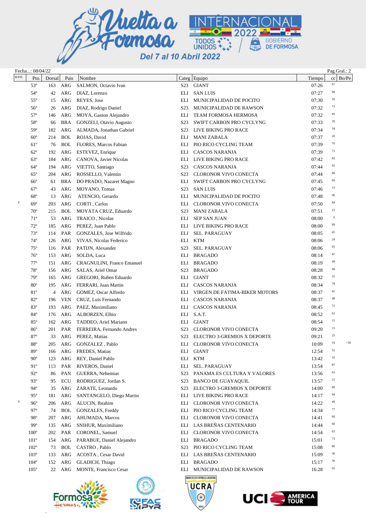

|           | Fecha: 08/04/22 |        |            |                                   |                  |                                                   |        | Pag.Gral.: 2         |
|-----------|-----------------|--------|------------|-----------------------------------|------------------|---------------------------------------------------|--------|----------------------|
| $R/P/E$ . | Pto.            | Dorsal | Pais       | Nombre                            |                  | Categ Equipo                                      | Tiempo | $cc \mid Bo/Pe \mid$ |
|           | $53^{\circ}$    | 163    | ARG        | SALMON, Octavio Ivan              |                  | S23 GIANT                                         | 07:26  | $\ensuremath{97}$    |
|           | $54^\circ$      | 42     | ARG        | DIAZ, Lorenzo                     | ELI              | <b>SAN LUIS</b>                                   | 07:27  | 99                   |
|           | $55^{\circ}$    | 15     | ARG        | REYES, Jose                       | ELI              | MUNICIPALIDAD DE POCITO                           | 07:30  | 59                   |
|           | $56^{\circ}$    | 26     | ARG        | DIAZ, Rodrigo Daniel              | S <sub>2</sub> 3 | MUNICIPALIDAD DE RAWSON                           | 07:32  | 73                   |
|           | $57^{\circ}$    | 146    | ARG        | MOYA, Gaston Alejandro            | ELI              | TEAM FORMOSA HERMOSA                              | 07:32  | 85                   |
|           | 58°             | 66     | BRA        | GONZELI, Otavio Augusto           | S23              | SWIFT CARBON PRO CYCLYNG                          | 07:33  | 29                   |
|           | $59^\circ$      | 182    | ARG        | ALMADA, Jonathan Gabriel          | S23              | LIVE BIKING PRO RACE                              | 07:34  | 34                   |
|           | $60^{\circ}$    | 214    | <b>BOL</b> | ROJAS, David                      | ELI              | <b>MANI ZABALA</b>                                | 07:37  | 20                   |
|           | $61^{\circ}$    | 76     | <b>BOL</b> | FLORES, Marcos Fabian             | ELI              | PIO RICO CYCLING TEAM                             | 07:39  | 70                   |
|           | $62^{\circ}$    | 192    | ARG        | ESTEVEZ, Enrique                  | ELI              | <b>CASCOS NARANJA</b>                             | 07:39  | 72                   |
|           | $63^\circ$      | 184    | ARG        | CANOVA, Javier Nicolas            | ELI              | LIVE BIKING PRO RACE                              | 07:42  | 82                   |
|           | $64^\circ$      | 194    | ARG        | VIETTO, Santiago                  | S23              | <b>CASCOS NARANJA</b>                             | 07:44  | 42                   |
|           | $65^{\circ}$    | 204    | <b>ARG</b> | ROSSELLO, Valentín                | S <sub>2</sub> 3 | <b>CLORONOR VIVO CONECTA</b>                      | 07:44  | 80                   |
|           | $66^{\circ}$    | 61     | <b>BRA</b> | DO PRADO, Nazaret Magno           | ELI              | SWIFT CARBON PRO CYCLYNG                          | 07:45  | 69                   |
|           | $67^\circ$      | 43     | ARG        | MOYANO, Tomas                     | S23              | <b>SAN LUIS</b>                                   | 07:46  | 13                   |
|           | $68^{\circ}$    | 13     | ARG        | ATENCIO, Gerardo                  | ELI              | MUNICIPALIDAD DE POCITO                           | 07:48  | 96                   |
| F         | $69^\circ$      | 203    | ARG        | CORTI, Carlos                     | ELI              | <b>CLORONOR VIVO CONECTA</b>                      | 07:50  | 84                   |
|           | $70^{\circ}$    | 215    | <b>BOL</b> | MOYATA CRUZ, Eduardo              | S23              | <b>MANI ZABALA</b>                                | 07:51  | 23                   |
|           | $71^{\circ}$    | 53     | ARG        | TRAICO, Nicolas                   | ELI              | <b>SEP SAN JUAN</b>                               | 08:00  | 6                    |
|           | $72^{\circ}$    | 185    | ARG        | PEREZ, Juan Pablo                 |                  | ELI LIVE BIKING PRO RACE                          | 08:00  | 99                   |
|           | $73^{\circ}$    | 114    | PAR        | GONZALES, Jose Wilfrido           | ELI              | <b>SEL. PARAGUAY</b>                              | 08:05  | 45                   |
|           | $74^{\circ}$    | 126    | ARG        | VIVAS, Nicolas Federico           | ELI              | KTM                                               | 08:06  | 24                   |
|           | $75^{\circ}$    | 116    | PAR        | PATIJN, Alexander                 | S23              | <b>SEL. PARAGUAY</b>                              | 08:06  | 65                   |
|           | $76^{\circ}$    | 153    | <b>ARG</b> | SOLDA, Luca                       | ELI              | <b>BRAGADO</b>                                    | 08:14  | 47                   |
|           | $77^{\circ}$    | 151    | <b>ARG</b> | <b>CRAGNULINI, Franco Emanuel</b> | ELI              | <b>BRAGADO</b>                                    | 08:19  | 49                   |
|           | $78^{\circ}$    | 156    | ARG        | SALAS, Ariel Omar                 | S23              | <b>BRAGADO</b>                                    | 08:28  | 68                   |
|           | $79^{\circ}$    | 165    | ARG        | GREGORI, Ruben Eduardo            | ELI              | <b>GIANT</b>                                      | 08:32  | 32                   |
|           | $80^{\circ}$    | 195    | ARG        | FERRARI, Juan Martin              | ELI              | CASCOS NARANJA                                    | 08:34  | 79                   |
|           | 81°             | 4      | ARG        | GOMEZ, Oscar Alfredo              | ELI              | VIRGEN DE FATIMA-BIKER MOTORS                     | 08:37  | 41                   |
|           | $82^{\circ}$    | 196    | <b>VEN</b> | CRUZ, Luis Fernando               | ELI              | CASCOS NARANJA                                    | 08:37  | 48                   |
|           | 83°             | 193    | ARG        | PAEZ, Maximiliano                 |                  | ELI CASCOS NARANJA                                | 08:45  | 72                   |
|           | 84°             | 176    | <b>ARG</b> | ALBORZEN, Elbio                   |                  | ELI S.A.T.                                        | 08:52  | 62                   |
|           | $85^{\circ}$    | 162    | ARG        | TADDEO, Ariel Mariano             |                  | ELI GIANT                                         | 08:54  | 15                   |
|           | $86^{\circ}$    | 201    | PAR        | FERREIRA, Fernando Andres         | S <sub>23</sub>  | <b>CLORONOR VIVO CONECTA</b>                      | 09:20  | 15                   |
|           | $87^\circ$      | 33     |            | ARG PEREZ, Matías                 | S <sub>23</sub>  | ELECTRO 3-GREMIOS X DEPORTE                       | 09:21  | 25                   |
|           | $88^{\rm o}$    |        |            | 205 ARG GONZALEZ, Pablo           |                  | ELI CLORONOR VIVO CONECTA                         | 10:09  | $+30$<br>14          |
|           | $89^\circ$      | 166    |            | ARG FREDES, Matias                |                  | ELI GIANT                                         | 12:54  | 52                   |
|           | $90^{\circ}$    | 123    | ARG        | REY, Daniel Pablo                 | ELI              | KTM                                               | 13:42  | 33                   |
|           | $91^{\circ}$    | 113    | PAR        | RIVEROS, Daniel                   | ELI              | SEL. PARAGUAY                                     | 13:54  | 87                   |
|           | $92^{\circ}$    | 86     | PAN        | GUERRA, Nehemias                  | S23              | PANAMA ES CULTURA Y VALORES                       | 13:56  | 63                   |
|           | $93^\circ$      | 95     | ECU        | RODRIGUEZ, Jordan S.              | S23              | <b>BANCO DE GUAYAQUIL</b>                         | 13:57  | 21                   |
|           | $94^\circ$      | 35     | ARG        | ZARATE, Leonardo                  | S23              | ELECTRO 3-GREMIOS X DEPORTE                       | 14:00  | 80                   |
|           | $95^\circ$      | 181    | ARG        | SANTANGELO, Diego Martin          | ELI              | LIVE BIKING PRO RACE                              | 14:17  | 94                   |
| F         | $96^{\circ}$    | 206    | ARG        | ALUCIN, Ibrahim                   | ELI              | <b>CLORONOR VIVO CONECTA</b>                      | 14:22  | 49                   |
|           | $97^\circ$      | 74     | <b>BOL</b> | GONZALES, Freddy                  | ELI              | PIO RICO CYCLING TEAM                             | 14:34  | 77                   |
|           | $98^{\circ}$    | 207    | ARG        | AHUMADA, Marcos                   | ELI              | <b>CLORONOR VIVO CONECTA</b>                      | 14:41  | 60                   |
|           | 99°             | 135    | ARG        | SNIHUR, Maximiliano               |                  | ELI LAS BREÑAS CENTENARIO                         | 14:44  | 68                   |
|           | $100^\circ$     | 202    | PAR        | CORONEL, Samuel                   | ELI              | CLORONOR VIVO CONECTA                             | 14:54  | 63                   |
|           | $101^{\circ}$   | 154    | ARG        | PARABUE, Daniel Alejandro         | ELI              | BRAGADO                                           | 15:01  | 73                   |
|           | $102^{\circ}$   | 73     | <b>BOL</b> | CASTRO, Pablo                     | S <sub>23</sub>  | PIO RICO CYCLING TEAM                             | 15:08  | 80                   |
|           | $103^\circ$     | 133    | ARG        | ACOSTA, Cesar David               | ELI              | LAS BREÑAS CENTENARIO                             | 15:09  | 36                   |
|           | $104^\circ$     | 152    | ARG        | GLADICH, Thiago                   | ELI              | <b>BRAGADO</b>                                    | 15:17  | 56                   |
|           | $105^\circ$     | 22     | ARG        | <b>MONTE, Francisco Cesar</b>     |                  | ELI MUNICIPALIDAD DE RAWSON                       | 16:28  | 95                   |
|           |                 |        |            |                                   |                  | INION CICLISTA REPÚBLICA ARGENTINA<br><b>UCRA</b> |        |                      |



×



 $^{\circledR}$ 

UCIS

**AMERICA**<br>TOUR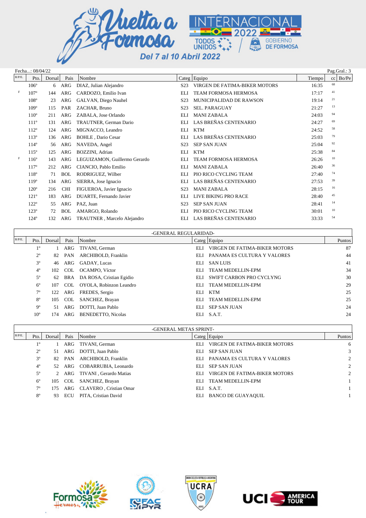

|           | Fecha: 08/04/22<br>Pag.Gral.: 3 |        |            |                               |                  |                               |        |             |  |  |  |
|-----------|---------------------------------|--------|------------|-------------------------------|------------------|-------------------------------|--------|-------------|--|--|--|
| $R/P/E$ . | Pto.                            | Dorsal | Pais       | Nombre                        |                  | Categ Equipo                  | Tiempo | Bo/Pe<br>cc |  |  |  |
|           | $106^\circ$                     | 6      | ARG        | DIAZ, Julian Alejandro        | S <sub>2</sub> 3 | VIRGEN DE FATIMA-BIKER MOTORS | 16:35  | 68          |  |  |  |
| F         | $107^\circ$                     | 144    | ARG        | CARDOZO, Emilio Ivan          | ELI              | <b>TEAM FORMOSA HERMOSA</b>   | 17:17  | 41          |  |  |  |
|           | $108^\circ$                     | 23     | ARG        | GALVAN, Diego Nauhel          | S <sub>2</sub> 3 | MUNICIPALIDAD DE RAWSON       | 19:14  | 21          |  |  |  |
|           | $109^\circ$                     | 115    | PAR        | ZACHAR, Bruno                 | S <sub>2</sub> 3 | <b>SEL. PARAGUAY</b>          | 21:27  | 13          |  |  |  |
|           | $110^{\circ}$                   | 211    | <b>ARG</b> | ZABALA, Jose Orlando          | ELI              | <b>MANI ZABALA</b>            | 24:03  | 94          |  |  |  |
|           | $111^\circ$                     | 131    | ARG        | TRAUTNER, German Dario        | ELI              | LAS BREÑAS CENTENARIO         | 24:27  | 69          |  |  |  |
|           | $112^{\circ}$                   | 124    | <b>ARG</b> | MIGNACCO, Leandro             | ELI              | <b>KTM</b>                    | 24:52  | 58          |  |  |  |
|           | $113^{\circ}$                   | 136    | ARG        | <b>BOHLE</b> , Dario Cesar    | <b>ELI</b>       | LAS BREÑAS CENTENARIO         | 25:03  | 79          |  |  |  |
|           | $114^{\circ}$                   | 56     | ARG        | NAVEDA, Angel                 | S <sub>2</sub> 3 | <b>SEP SAN JUAN</b>           | 25:04  | 92          |  |  |  |
|           | $115^\circ$                     | 125    | ARG        | BOZZINI, Adrian               | ELI              | <b>KTM</b>                    | 25:38  | 84          |  |  |  |
| F         | $116^\circ$                     | 143    | <b>ARG</b> | LEGUIZAMON, Guillermo Gerardo | EL I             | <b>TEAM FORMOSA HERMOSA</b>   | 26:26  | 10          |  |  |  |
|           | $117^{\circ}$                   | 212    | <b>ARG</b> | CIANCIO, Pablo Emilio         | <b>ELI</b>       | <b>MANI ZABALA</b>            | 26:40  | 36          |  |  |  |
|           | 118°                            | 71     | <b>BOL</b> | RODRIGUEZ, Wilber             | ELI              | PIO RICO CYCLING TEAM         | 27:40  | 74          |  |  |  |
|           | $119^\circ$                     | 134    | ARG        | SIERRA, Jose Ignacio          | <b>ELI</b>       | LAS BREÑAS CENTENARIO         | 27:53  | 39          |  |  |  |
|           | $120^\circ$                     | 216    | <b>CHI</b> | FIGUEROA, Javier Ignacio      | S <sub>2</sub> 3 | <b>MANI ZABALA</b>            | 28:15  | 16          |  |  |  |
|           | $121^\circ$                     | 183    | ARG        | DUARTE, Fernando Javier       | ELI              | LIVE BIKING PRO RACE          | 28:40  | 45          |  |  |  |
|           | $122^{\circ}$                   | 55     | <b>ARG</b> | PAZ, Juan                     | S <sub>2</sub> 3 | <b>SEP SAN JUAN</b>           | 28:41  | 14          |  |  |  |
|           | $123^\circ$                     | 72     | <b>BOL</b> | AMARGO, Rolando               | ELI              | PIO RICO CYCLING TEAM         | 30:01  | $10\,$      |  |  |  |
|           | $124^\circ$                     | 132    | ARG        | TRAUTNER, Marcelo Alejandro   | EL I             | LAS BREÑAS CENTENARIO         | 33:33  | 54          |  |  |  |

|           |              |        |        | -GENERAL REGULARIDAD-        |      |                               |        |
|-----------|--------------|--------|--------|------------------------------|------|-------------------------------|--------|
| $R/P/E$ . | Pto.         | Dorsal | Pais   | Nombre                       |      | Categ Equipo                  | Puntos |
|           | $1^{\circ}$  |        | 1 ARG  | TIVANI, German               | ELI  | VIRGEN DE FATIMA-BIKER MOTORS | 87     |
|           | $2^{\circ}$  |        | 82 PAN | ARCHIBOLD, Franklin          | ELI  | PANAMA ES CULTURA Y VALORES   | 44     |
|           | $3^{\circ}$  | 46     | ARG    | GADAY, Lucas                 | ELI. | SAN LUIS                      | 41     |
|           | $4^{\circ}$  | 102    | COL    | OCAMPO, Víctor               | ELI  | TEAM MEDELLIN-EPM             | 34     |
|           | $5^{\circ}$  | 62     |        | BRA DA ROSA, Cristian Egidio | ELI  | SWIFT CARBON PRO CYCLYNG      | 30     |
|           | $6^{\circ}$  | 107    |        | COL OYOLA, Robinzon Leandro  | ELI  | TEAM MEDELLIN-EPM             | 29     |
|           | $7^\circ$    | 122    |        | ARG FREDES, Sergio           | EL I | KTM                           | 25     |
|           | $8^{\circ}$  | 105    | COL    | SANCHEZ, Brayan              | ELI  | TEAM MEDELLIN-EPM             | 25     |
|           | $9^{\circ}$  | 51.    | ARG    | DOTTI, Juan Pablo            | ELI  | <b>SEP SAN JUAN</b>           | 24     |
|           | $10^{\circ}$ | 74     | ARG    | <b>BENEDETTO, Nicolas</b>    | ELI  | S.A.T.                        | 24     |

|           | -GENERAL METAS SPRINT- |        |        |                             |      |                                   |                |  |  |  |  |  |
|-----------|------------------------|--------|--------|-----------------------------|------|-----------------------------------|----------------|--|--|--|--|--|
| $R/P/E$ . | Pto.                   | Dorsal | Pais   | Nombre                      |      | Categ $\left $ Equipo             | Puntos         |  |  |  |  |  |
|           | 10                     |        | ARG    | TIVANI, German              | ELI. | VIRGEN DE FATIMA-BIKER MOTORS     | 6              |  |  |  |  |  |
|           | $2^{\circ}$            | 51     | ARG    | DOTTI, Juan Pablo           |      | ELI SEP SAN JUAN                  | 3              |  |  |  |  |  |
|           | $3^{\circ}$            |        | 82 PAN | ARCHIBOLD, Franklin         |      | ELI PANAMA ES CULTURA Y VALORES   | 2              |  |  |  |  |  |
|           | $4^{\circ}$            |        |        | 52 ARG COBARRUBIA, Leonardo | ELI  | SEP SAN JUAN                      | $\overline{2}$ |  |  |  |  |  |
|           | $5^{\circ}$            |        | 2 ARG  | TIVANI, Gerardo Matias      |      | ELI VIRGEN DE FATIMA-BIKER MOTORS | 2              |  |  |  |  |  |
|           | $6^{\circ}$            | 105    | COL    | SANCHEZ, Brayan             | ELI  | TEAM MEDELLIN-EPM                 |                |  |  |  |  |  |
|           | $7^{\circ}$            | 175    |        | ARG CLAVERO, Cristian Omar  |      | ELI S.A.T.                        |                |  |  |  |  |  |
|           | $8^{\circ}$            | 93     | ECU    | PITA, Cristian David        |      | ELI BANCO DE GUAYAQUIL            |                |  |  |  |  |  |







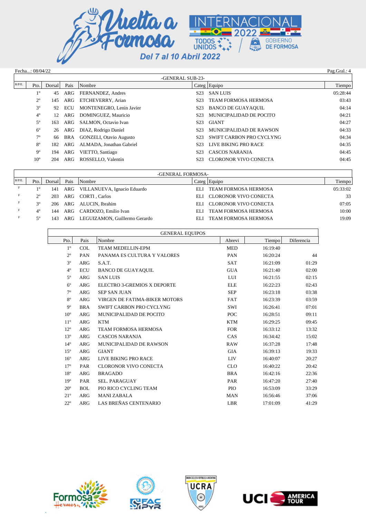

|                  | Pag.Gral.: 4<br>Fecha: 08/04/22 |        |      |                                |                  |                             |          |  |  |  |  |  |
|------------------|---------------------------------|--------|------|--------------------------------|------------------|-----------------------------|----------|--|--|--|--|--|
| -GENERAL SUB-23- |                                 |        |      |                                |                  |                             |          |  |  |  |  |  |
| $R/P/E$ .        | Pto.                            | Dorsal | Pais | Nombre                         |                  | $\text{Categ}$ Equipo       | Tiempo   |  |  |  |  |  |
|                  | $1^{\circ}$                     | 45     | ARG  | FERNANDEZ, Andres              | S <sub>2</sub> 3 | <b>SAN LUIS</b>             | 05:28:44 |  |  |  |  |  |
|                  | $2^{\circ}$                     | 145    | ARG  | ETCHEVERRY, Arian              | S <sub>2</sub> 3 | <b>TEAM FORMOSA HERMOSA</b> | 03:43    |  |  |  |  |  |
|                  | $3^{\circ}$                     | 92     | ECU  | MONTENEGRO, Lenin Javier       | S <sub>2</sub> 3 | <b>BANCO DE GUAYAQUIL</b>   | 04:14    |  |  |  |  |  |
|                  | $4^{\circ}$                     | 12     | ARG  | DOMINGUEZ, Mauricio            | S <sub>2</sub> 3 | MUNICIPALIDAD DE POCITO     | 04:21    |  |  |  |  |  |
|                  | $5^{\circ}$                     | 163    | ARG  | SALMON, Octavio Ivan           | S <sub>2</sub> 3 | GIANT                       | 04:27    |  |  |  |  |  |
|                  | $6^{\circ}$                     | 26     | ARG  | DIAZ, Rodrigo Daniel           | S <sub>2</sub> 3 | MUNICIPALIDAD DE RAWSON     | 04:33    |  |  |  |  |  |
|                  | $7^\circ$                       | 66     | BRA  | <b>GONZELI, Otavio Augusto</b> | S <sub>2</sub> 3 | SWIFT CARBON PRO CYCLYNG    | 04:34    |  |  |  |  |  |
|                  | $8^{\circ}$                     | 182    | ARG  | ALMADA, Jonathan Gabriel       | S <sub>2</sub> 3 | LIVE BIKING PRO RACE        | 04:35    |  |  |  |  |  |
|                  | $9^{\circ}$                     | 194    | ARG  | VIETTO, Santiago               | S <sub>2</sub> 3 | <b>CASCOS NARANJA</b>       | 04:45    |  |  |  |  |  |
|                  | $10^{\circ}$                    | 204    | ARG  | ROSSELLO, Valentín             | S <sub>23</sub>  | CLORONOR VIVO CONECTA       | 04:45    |  |  |  |  |  |

| -GENERAL FORMOSA- |             |        |      |                                     |      |                           |          |  |  |  |
|-------------------|-------------|--------|------|-------------------------------------|------|---------------------------|----------|--|--|--|
| $R/P/E$ .         | Pto.        | Dorsal | Pais | <b>Nombre</b>                       |      | $\text{Categ}$ Equipo     | Tiempo   |  |  |  |
| $_{\rm F}$        | $1^{\circ}$ |        |      | 141 ARG VILLANUEVA, Ignacio Eduardo | ELI. | TEAM FORMOSA HERMOSA      | 05:33:02 |  |  |  |
|                   | $2^{\circ}$ |        |      | 203 ARG CORTI, Carlos               |      | ELI CLORONOR VIVO CONECTA | 33       |  |  |  |
|                   | 20          |        |      | 206 ARG ALUCIN, Ibrahim             |      | ELI CLORONOR VIVO CONECTA | 07:05    |  |  |  |
| F                 | $4^{\circ}$ |        |      | 144 ARG CARDOZO, Emilio Ivan        | EL I | TEAM FORMOSA HERMOSA      | 10:00    |  |  |  |
| F.                | 50          | 143    |      | ARG LEGUIZAMON, Guillermo Gerardo   | EL I | TEAM FORMOSA HERMOSA      | 19:09    |  |  |  |

| <b>GENERAL EQUIPOS</b> |            |                               |            |          |            |  |  |  |  |
|------------------------|------------|-------------------------------|------------|----------|------------|--|--|--|--|
| Pto.                   | Pais       | Nombre                        | Abrevi     | Tiempo   | Diferencia |  |  |  |  |
| $1^{\circ}$            | <b>COL</b> | <b>TEAM MEDELLIN-EPM</b>      | <b>MED</b> | 16:19:40 |            |  |  |  |  |
| $2^{\circ}$            | PAN        | PANAMA ES CULTURA Y VALORES   | PAN        | 16:20:24 | 44         |  |  |  |  |
| $3^{\circ}$            | <b>ARG</b> | S.A.T.                        | <b>SAT</b> | 16:21:09 | 01:29      |  |  |  |  |
| $4^{\circ}$            | <b>ECU</b> | <b>BANCO DE GUAYAQUIL</b>     | <b>GUA</b> | 16:21:40 | 02:00      |  |  |  |  |
| $5^{\circ}$            | <b>ARG</b> | <b>SAN LUIS</b>               | LUI        | 16:21:55 | 02:15      |  |  |  |  |
| $6^{\circ}$            | <b>ARG</b> | ELECTRO 3-GREMIOS X DEPORTE   | <b>ELE</b> | 16:22:23 | 02:43      |  |  |  |  |
| $7^{\circ}$            | <b>ARG</b> | <b>SEP SAN JUAN</b>           | <b>SEP</b> | 16:23:18 | 03:38      |  |  |  |  |
| $8^{\circ}$            | <b>ARG</b> | VIRGEN DE FATIMA-BIKER MOTORS | <b>FAT</b> | 16:23:39 | 03:59      |  |  |  |  |
| $9^{\circ}$            | <b>BRA</b> | SWIFT CARBON PRO CYCLYNG      | SWI        | 16:26:41 | 07:01      |  |  |  |  |
| 10 <sup>o</sup>        | <b>ARG</b> | MUNICIPALIDAD DE POCITO       | POC        | 16:28:51 | 09:11      |  |  |  |  |
| $11^{\circ}$           | <b>ARG</b> | <b>KTM</b>                    | <b>KTM</b> | 16:29:25 | 09:45      |  |  |  |  |
| $12^{\circ}$           | <b>ARG</b> | <b>TEAM FORMOSA HERMOSA</b>   | <b>FOR</b> | 16:33:12 | 13:32      |  |  |  |  |
| $13^{\circ}$           | <b>ARG</b> | <b>CASCOS NARANJA</b>         | CAS        | 16:34:42 | 15:02      |  |  |  |  |
| $14^{\circ}$           | <b>ARG</b> | MUNICIPALIDAD DE RAWSON       | <b>RAW</b> | 16:37:28 | 17:48      |  |  |  |  |
| $15^{\circ}$           | <b>ARG</b> | <b>GIANT</b>                  | <b>GIA</b> | 16:39:13 | 19:33      |  |  |  |  |
| $16^{\circ}$           | <b>ARG</b> | LIVE BIKING PRO RACE          | <b>LIV</b> | 16:40:07 | 20:27      |  |  |  |  |
| $17^{\circ}$           | PAR        | <b>CLORONOR VIVO CONECTA</b>  | <b>CLO</b> | 16:40:22 | 20:42      |  |  |  |  |
| $18^{\circ}$           | <b>ARG</b> | <b>BRAGADO</b>                | <b>BRA</b> | 16:42:16 | 22:36      |  |  |  |  |
| 19 <sup>o</sup>        | PAR        | <b>SEL. PARAGUAY</b>          | PAR        | 16:47:20 | 27:40      |  |  |  |  |
| $20^{\circ}$           | <b>BOL</b> | PIO RICO CYCLING TEAM         | <b>PIO</b> | 16:53:09 | 33:29      |  |  |  |  |
| $21^{\circ}$           | <b>ARG</b> | <b>MANI ZABALA</b>            | <b>MAN</b> | 16:56:46 | 37:06      |  |  |  |  |
| $22^{\circ}$           | <b>ARG</b> | LAS BREÑAS CENTENARIO         | <b>LBR</b> | 17:01:09 | 41:29      |  |  |  |  |



×,





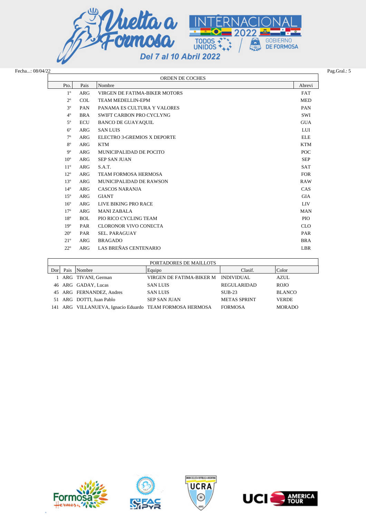

| Fecha: 08/04/22 |                 |            |                               |            |  |  |  |  |  |  |
|-----------------|-----------------|------------|-------------------------------|------------|--|--|--|--|--|--|
|                 | ORDEN DE COCHES |            |                               |            |  |  |  |  |  |  |
|                 | Pto.            | Pais       | Nombre                        | Abrevi     |  |  |  |  |  |  |
|                 | $1^{\circ}$     | <b>ARG</b> | VIRGEN DE FATIMA-BIKER MOTORS | <b>FAT</b> |  |  |  |  |  |  |
|                 | $2^{\circ}$     | <b>COL</b> | TEAM MEDELLIN-EPM             | <b>MED</b> |  |  |  |  |  |  |
|                 | $3^{\circ}$     | PAN        | PANAMA ES CULTURA Y VALORES   | <b>PAN</b> |  |  |  |  |  |  |
|                 | $4^\circ$       | <b>BRA</b> | SWIFT CARBON PRO CYCLYNG      | SWI        |  |  |  |  |  |  |
|                 | $5^{\circ}$     | ECU        | <b>BANCO DE GUAYAQUIL</b>     | <b>GUA</b> |  |  |  |  |  |  |
|                 | $6^{\circ}$     | ARG        | <b>SAN LUIS</b>               | LUI        |  |  |  |  |  |  |
|                 | $7^\circ$       | ARG        | ELECTRO 3-GREMIOS X DEPORTE   | <b>ELE</b> |  |  |  |  |  |  |
|                 | $8^{\circ}$     | ARG        | <b>KTM</b>                    | <b>KTM</b> |  |  |  |  |  |  |
|                 | $9^{\circ}$     | ARG        | MUNICIPALIDAD DE POCITO       | POC        |  |  |  |  |  |  |
|                 | $10^{\circ}$    | ARG        | <b>SEP SAN JUAN</b>           | <b>SEP</b> |  |  |  |  |  |  |
|                 | $11^{\circ}$    | ARG        | S.A.T.                        | <b>SAT</b> |  |  |  |  |  |  |
|                 | $12^{\circ}$    | ARG        | <b>TEAM FORMOSA HERMOSA</b>   | <b>FOR</b> |  |  |  |  |  |  |
|                 | $13^{\circ}$    | ARG        | MUNICIPALIDAD DE RAWSON       | <b>RAW</b> |  |  |  |  |  |  |
|                 | $14^{\circ}$    | <b>ARG</b> | <b>CASCOS NARANJA</b>         | <b>CAS</b> |  |  |  |  |  |  |
|                 | $15^{\circ}$    | ARG        | <b>GIANT</b>                  | <b>GIA</b> |  |  |  |  |  |  |
|                 | $16^{\circ}$    | ARG        | LIVE BIKING PRO RACE          | <b>LIV</b> |  |  |  |  |  |  |
|                 | 17 <sup>°</sup> | ARG        | <b>MANI ZABALA</b>            | <b>MAN</b> |  |  |  |  |  |  |
|                 | $18^{\circ}$    | <b>BOL</b> | PIO RICO CYCLING TEAM         | PIO        |  |  |  |  |  |  |
|                 | 19 <sup>o</sup> | PAR        | CLORONOR VIVO CONECTA         | <b>CLO</b> |  |  |  |  |  |  |
|                 | $20^{\circ}$    | PAR        | <b>SEL. PARAGUAY</b>          | PAR        |  |  |  |  |  |  |
|                 | $21^{\circ}$    | ARG        | <b>BRAGADO</b>                | <b>BRA</b> |  |  |  |  |  |  |
|                 | $22^{\circ}$    | ARG        | LAS BREÑAS CENTENARIO         | LBR        |  |  |  |  |  |  |

|     | PORTADORES DE MAILLOTS |                                                          |                                     |                     |               |  |  |  |  |  |  |
|-----|------------------------|----------------------------------------------------------|-------------------------------------|---------------------|---------------|--|--|--|--|--|--|
| Dor | Pais                   | Nombre                                                   | Equipo                              | Clasif.             | Color         |  |  |  |  |  |  |
|     |                        | 1 ARG TIVANI, German                                     | VIRGEN DE FATIMA-BIKER M INDIVIDUAL |                     | AZUL          |  |  |  |  |  |  |
|     |                        | 46 ARG GADAY, Lucas                                      | <b>SAN LUIS</b>                     | <b>REGULARIDAD</b>  | <b>ROJO</b>   |  |  |  |  |  |  |
|     |                        | 45 ARG FERNANDEZ, Andres                                 | <b>SAN LUIS</b>                     | $SIJB-23$           | <b>BLANCO</b> |  |  |  |  |  |  |
|     |                        | 51 ARG DOTTI, Juan Pablo                                 | <b>SEP SAN JUAN</b>                 | <b>METAS SPRINT</b> | <b>VERDE</b>  |  |  |  |  |  |  |
|     |                        | 141 ARG VILLANUEVA, Ignacio Eduardo TEAM FORMOSA HERMOSA |                                     | <b>FORMOSA</b>      | <b>MORADO</b> |  |  |  |  |  |  |